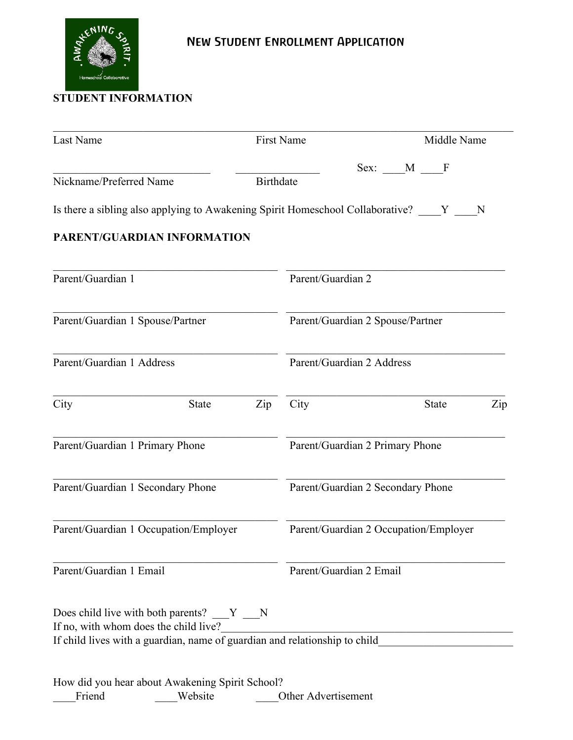

## **STUDENT INFORMATION**

| Last Name                                                                          |                                  | <b>First Name</b>                 |                                 |                                       | Middle Name  |     |  |  |
|------------------------------------------------------------------------------------|----------------------------------|-----------------------------------|---------------------------------|---------------------------------------|--------------|-----|--|--|
|                                                                                    |                                  |                                   |                                 | Sex: M F                              |              |     |  |  |
| Nickname/Preferred Name                                                            | <b>Birthdate</b>                 |                                   |                                 |                                       |              |     |  |  |
| Is there a sibling also applying to Awakening Spirit Homeschool Collaborative? Y N |                                  |                                   |                                 |                                       |              |     |  |  |
| PARENT/GUARDIAN INFORMATION                                                        |                                  |                                   |                                 |                                       |              |     |  |  |
| Parent/Guardian 1                                                                  |                                  | Parent/Guardian 2                 |                                 |                                       |              |     |  |  |
| Parent/Guardian 1 Spouse/Partner                                                   | Parent/Guardian 2 Spouse/Partner |                                   |                                 |                                       |              |     |  |  |
| Parent/Guardian 1 Address                                                          | Parent/Guardian 2 Address        |                                   |                                 |                                       |              |     |  |  |
| City<br><b>State</b>                                                               | $\mathbf{Zip}$                   | City                              |                                 |                                       | <b>State</b> | Zip |  |  |
| Parent/Guardian 1 Primary Phone                                                    |                                  |                                   | Parent/Guardian 2 Primary Phone |                                       |              |     |  |  |
| Parent/Guardian 1 Secondary Phone                                                  |                                  | Parent/Guardian 2 Secondary Phone |                                 |                                       |              |     |  |  |
| Parent/Guardian 1 Occupation/Employer                                              |                                  |                                   |                                 | Parent/Guardian 2 Occupation/Employer |              |     |  |  |
| Parent/Guardian 1 Email                                                            | Parent/Guardian 2 Email          |                                   |                                 |                                       |              |     |  |  |
| Does child live with both parents? Y N<br>If no, with whom does the child live?    |                                  |                                   |                                 |                                       |              |     |  |  |
| If child lives with a guardian, name of guardian and relationship to child         |                                  |                                   |                                 |                                       |              |     |  |  |
|                                                                                    |                                  |                                   |                                 |                                       |              |     |  |  |
| How did you hear about Awakening Spirit School?<br>Friend<br>Website               |                                  |                                   | Other Advertisement             |                                       |              |     |  |  |